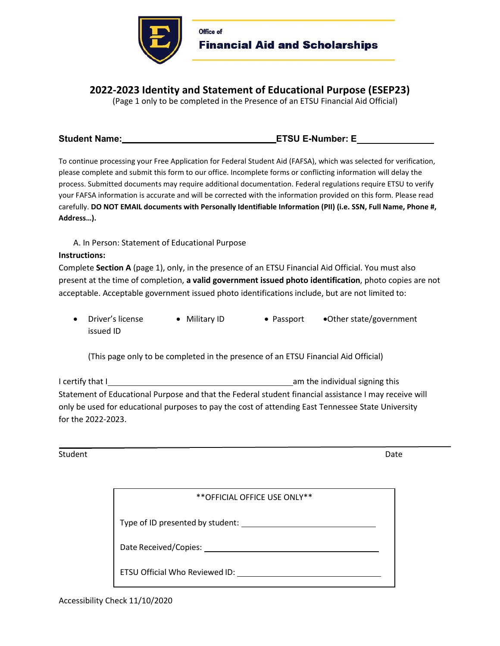

Office of Financial Aid and Scholarships

# **2022-2023 Identity and Statement of Educational Purpose (ESEP23)**

(Page 1 only to be completed in the Presence of an ETSU Financial Aid Official)

### Student Name: ENDIA CONSERVIATION CONTINUES AND LOCAL CONSERVATION CONTINUES AND LOCAL CONSERVATION CONTINUES A CONSERVATION CONTINUES AND LOCAL CONSERVATION CONTINUES AND LOCAL CONTINUES AND LOCAL CONTINUES AND LOCAL CONT

To continue processing your Free Application for Federal Student Aid (FAFSA), which was selected for verification, please complete and submit this form to our office. Incomplete forms or conflicting information will delay the process. Submitted documents may require additional documentation. Federal regulations require ETSU to verify your FAFSA information is accurate and will be corrected with the information provided on this form. Please read carefully. **DO NOT EMAIL documents with Personally Identifiable Information (PII) (i.e. SSN, Full Name, Phone #, Address…).** 

A. In Person: Statement of Educational Purpose

## **Instructions:**

Complete **Section A** (page 1), only, in the presence of an ETSU Financial Aid Official. You must also present at the time of completion, **a valid government issued photo identification**, photo copies are not acceptable. Acceptable government issued photo identifications include, but are not limited to:

• Driver's license • Military ID • Passport • Other state/government issued ID

(This page only to be completed in the presence of an ETSU Financial Aid Official)

I certify that I am the individual signing this individual signing this Statement of Educational Purpose and that the Federal student financial assistance I may receive will only be used for educational purposes to pay the cost of attending East Tennessee State University for the 2022-2023.

Student Date **Date** 

| ** OFFICIAL OFFICE USE ONLY**    |  |
|----------------------------------|--|
| Type of ID presented by student: |  |
| Date Received/Copies:            |  |
| ETSU Official Who Reviewed ID:   |  |